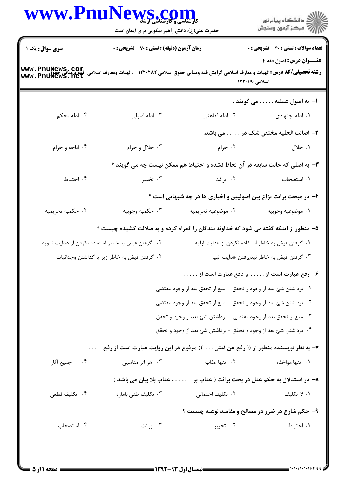|                                                                 | WWW.PnuNews.com<br>حضرت علی(ع): دانش راهبر نیکویی برای ایمان است                                               |                                                                                      | ر<br>دانشڪاه پيام نور)<br>اڳ مرڪز آزمون وسنڊش     |
|-----------------------------------------------------------------|----------------------------------------------------------------------------------------------------------------|--------------------------------------------------------------------------------------|---------------------------------------------------|
| <b>سری سوال :</b> یک ۱                                          | زمان آزمون (دقیقه) : تستی : 70 ٪ تشریحی : 0                                                                    |                                                                                      | <b>تعداد سوالات : تستی : 40 - تشریحی : 0</b>      |
| www.PnuNews.com<br>-فقه و هنايي جمهوري<br>- www . PnuNews . net | <b>رشته تحصیلی/کد درس: ا</b> لهیات و معارف اسلامی گرایش فقه ومبانی حقوق اسلامی ۱۲۲۰۲۸۲ - ،الهیات ومعارف اسلامی |                                                                                      | عنــوان درس: اصول فقه ۴<br>اسلامی۱۲۲۰۴۹۰          |
|                                                                 |                                                                                                                |                                                                                      | ا– به اصول عملیه می گویند .                       |
| ۰۴ ادله محکم                                                    | ۰۳ ادله اصولی                                                                                                  | ۰۲ ادله فقاهتی                                                                       | ۰۱ ادله اجتهادی                                   |
|                                                                 |                                                                                                                |                                                                                      | ۲– اصالت الحلیه مختص شک در می باشد.               |
| ۰۴ اباحه و حرام                                                 | ۰۳ حلال و حرام                                                                                                 | ۰۲ حرام                                                                              | ۰۱ حلال                                           |
|                                                                 |                                                                                                                | <b>۳</b> - به اصلی که حالت سابقه در آن لحاظ نشده و احتیاط هم ممکن نیست چه می گویند ؟ |                                                   |
| ۰۴ احتیاط                                                       | ۰۳ تخيير                                                                                                       | ۰۲ برائت                                                                             | ۰۱ استصحاب                                        |
|                                                                 |                                                                                                                | ۴- در مبحث برائت نزاع بین اصولیین و اخباری ها در چه شبهاتی است ؟                     |                                                   |
| ۰۴ حکمیه تحریمیه                                                | ۰۳ حکمیه وجوبیه                                                                                                | ۰۲ موضوعیه تحریمیه                                                                   | ٠١. موضوعيه وجوبيه                                |
|                                                                 | ۵– منظور از اینکه گفته می شود که خداوند بندگان را گمراه کرده و به ضلالت کشیده چیست ؟                           |                                                                                      |                                                   |
|                                                                 | ۰۲ گرفتن فیض به خاطر استفاده نکردن از هدایت ثانویه                                                             |                                                                                      | ۰۱ گرفتن فیض به خاطر استفاده نکردن از هدایت اولیه |
|                                                                 | ۰۴ گرفتن فیض به خاطر زیر پا گذاشتن وجدانیات                                                                    |                                                                                      | ۰۳ گرفتن فیض به خاطر نپذیرفتن هدایت انبیا         |
|                                                                 |                                                                                                                | ۶- رفع عبارت است از و دفع عبارت است از                                               |                                                   |
|                                                                 |                                                                                                                | ٠١ برداشتن شئ بعد از وجود و تحقق – منع از تحقق بعد از وجود مقتضى                     |                                                   |
|                                                                 |                                                                                                                | ۰۲ برداشتن شئ بعد از وجود و تحقق – منع از تحقق بعد از وجود مقتضى                     |                                                   |
|                                                                 |                                                                                                                | ۰۳ منع از تحقق بعد از وجود مقتضى – برداشتن شئ بعد از وجود و تحقق                     |                                                   |
|                                                                 |                                                                                                                | ۰۴ برداشتن شئ بعد از وجود و تحقق - برداشتن شئ بعد از وجود و تحقق                     |                                                   |
|                                                                 | ۷– به نظر نویسنده منظور از (( رفع عن امتی )) مرفوع در این روایت عبارت است از رفع                               |                                                                                      |                                                   |
| ۰۴ جميع آثار                                                    | ۰۳ هر اثر مناسب <i>ی</i>                                                                                       | ۰۲ تنها عذاب                                                                         | ۰۱ تنها مواخذه                                    |
|                                                                 |                                                                                                                | ۸– در استدلال به حکم عقل در بحث برائت ( عقاب بر، عقاب بلا بیان می باشد )             |                                                   |
| ۰۴ تكليف قطعي                                                   | ۰۳ تکلیف ظنی باماره                                                                                            | ٢.  تكليف احتمالي                                                                    | ۰۱ لا تكليف                                       |
|                                                                 |                                                                                                                | ۹- حکم شارع در ضرر در مصالح و مفاسد نوعیه چیست ؟                                     |                                                   |
| ۰۴ استصحاب                                                      | ۰۳ برائت                                                                                                       | ۰۲ تخییر                                                                             | ٠١. احتياط                                        |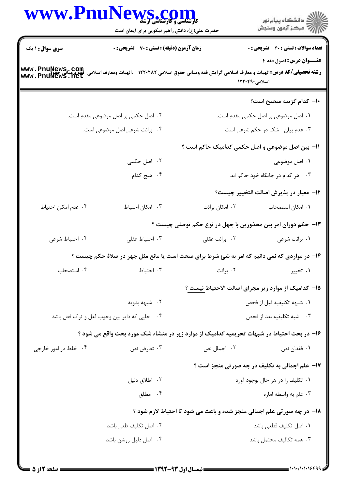|                                             | WWW.PnuNews.com                                                                              |                           | ڪ دانشڪاه پيام نور<br>//> مرڪز آزمون وسنڊش                             |
|---------------------------------------------|----------------------------------------------------------------------------------------------|---------------------------|------------------------------------------------------------------------|
|                                             | حضرت علی(ع): دانش راهبر نیکویی برای ایمان است                                                |                           |                                                                        |
| <b>سری سوال : ۱ یک</b>                      | <b>زمان آزمون (دقیقه) : تستی : 70 ٪ تشریحی : 0</b>                                           |                           | <b>تعداد سوالات : تستی : 40 ٪ تشریحی : 0</b>                           |
|                                             |                                                                                              |                           | عنــوان درس: اصول فقه ۴<br>اسلامی۱۲۲۰۴۹۰                               |
|                                             |                                                                                              |                           | ۱۰– کدام گزینه صحیح است؟                                               |
|                                             | ۰۲ اصل حکمی بر اصل موضوعی مقدم است.                                                          |                           | ۰۱ اصل موضوعی بر اصل حکمی مقدم است.                                    |
|                                             | ۰۴ برائت شرعی اصل موضوعی است.                                                                |                           | ۰۳ عدم بیان مشک در حکم شرعی است                                        |
|                                             |                                                                                              |                           | 11- بین اصل موضوعی و اصل حکمی کدامیک حاکم است ؟                        |
|                                             | ۰۲ اصل حکمی                                                                                  |                           | ۰۱ اصل موضوعی                                                          |
|                                             | ۰۴ هیچ کدام                                                                                  |                           | ۰۳ هر کدام در جایگاه خود حاکم اند                                      |
|                                             |                                                                                              |                           | <b>۱۲</b> - معیار در پذیرش اصالت التخییر چیست؟                         |
| ۰۴ عدم امکان احتیاط                         | ٠٣ امكان احتياط                                                                              | ۰۲ امکان برائت            | ٠١. امكان استصحاب                                                      |
|                                             |                                                                                              |                           | ۱۳- حکم دوران امر بین محذورین با جهل در نوع حکم توصلی چیست ؟           |
| ۰۴ احتياط شرعي                              | ۰۳ احتياط عقلى                                                                               | ۰۲ برائت عقلی             | ۰۱ برائت شرعی                                                          |
|                                             | ۱۴- در مواردی که نمی دانیم که امر به شئ شرط برای صحت است یا مانع مثل جهر در صلاهٔ حکم چیست ؟ |                           |                                                                        |
| ۰۴ استصحاب                                  | ۰۳ احتیاط                                                                                    | ۰۲ برائت                  | ۰۱ تخییر                                                               |
|                                             |                                                                                              |                           | ۱۵– کدامیک از موارد زیر مجرای اصالت الاحتیاط نیست ؟                    |
|                                             | ۰۲ شبهه بدویه                                                                                |                           | ٠١. شبهه تكليفيه قبل از فحص                                            |
| ۰۴ جایی که دایر بین وجوب فعل و ترک فعل باشد |                                                                                              | ۰۳ شبه تكليفيه بعد از فحص |                                                                        |
|                                             | ۱۶– در بحث احتیاط در شبهات تحریمیه کدامیک از موارد زیر در منشاء شک مورد بحث واقع می شود ؟    |                           |                                                                        |
| ۰۴ خلط در امور خارجی                        | ۰۳ تعارض نص                                                                                  | ۰۲ اجمال نص               | ۰۱ فقدان نص                                                            |
|                                             |                                                                                              |                           | <b>۱۷- علم اجمالی به تکلیف در چه صورتی منجز است</b> ؟                  |
|                                             | ۰۲ اطلاق دلیل                                                                                |                           | ۰۱ تکلیف را در هر حال بوجود آورد                                       |
|                                             | ۰۴ مطلق                                                                                      |                           | ۰۳ علم به واسطه اماره                                                  |
|                                             |                                                                                              |                           | 18- در چه صورتی علم اجمالی منجز شده و باعث می شود تا احتیاط لازم شود ؟ |
|                                             | ۰۲ اصل تکلیف ظنی باشد                                                                        |                           | ۰۱ اصل تكليف قطعي باشد                                                 |
|                                             | ۰۴ اصل دلیل روشن باشد                                                                        |                           | ۰۳ همه تكاليف محتمل باشد                                               |
|                                             |                                                                                              |                           |                                                                        |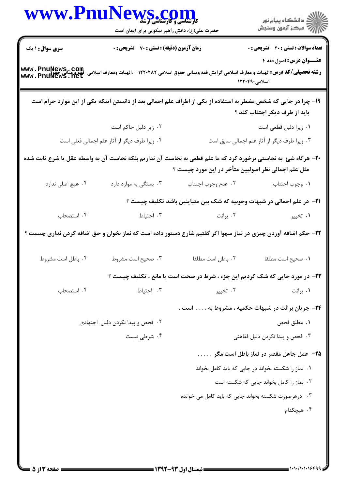|                                                                                                                                                                            | WWW.PnuNews.com<br>حضرت علی(ع): دانش راهبر نیکویی برای ایمان است |                                                                                                                                                                       |                                                                                          |
|----------------------------------------------------------------------------------------------------------------------------------------------------------------------------|------------------------------------------------------------------|-----------------------------------------------------------------------------------------------------------------------------------------------------------------------|------------------------------------------------------------------------------------------|
| <b>سری سوال : ۱ یک</b><br><b>رشته تحصیلی/کد درس:</b> الهیات و معارف اسلامی گرایش فقه ومبانی حقوق اسلامی ۱۲۲۰۲۸۲ - ،الهیات ومعارف اسلامی-فقه و مبان<br>WWW . PnulVewS . net | زمان آزمون (دقیقه) : تستی : 70 ٪ تشریحی : 0                      |                                                                                                                                                                       | <b>تعداد سوالات : تستي : 40 - تشريحي : 0</b><br>عنــوان درس: اصول فقه ۴<br>اسلامی۱۲۲۰۴۹۰ |
|                                                                                                                                                                            |                                                                  | ۱۹– چرا در جایی که شخص مضطر به استفاده از یکی از اطراف علم اجمالی بعد از دانستن اینکه یکی از این موارد حرام است                                                       | باید از طرف دیگر اجتناب کند ؟                                                            |
|                                                                                                                                                                            | ۰۲ زیر دلیل حاکم است                                             |                                                                                                                                                                       | ۰۱ زیرا دلیل قطعی است                                                                    |
|                                                                                                                                                                            | ۰۴ زیرا طرف دیگر از آثار علم اجمالی فعلی است                     |                                                                                                                                                                       | ۰۳ زیرا طرف دیگر از آثار علم اجمالی سابق است                                             |
|                                                                                                                                                                            |                                                                  | +۲- هرگاه شئ به نجاستی برخورد کرد که ما علم قطعی به نجاست آن نداریم بلکه نجاست آن به واسطه عقل یا شرع ثابت شده<br>مثل علم اجمالی نظر اصولیین متأخر در این مورد چیست ؟ |                                                                                          |
| ۰۴ هيچ اصلي ندارد                                                                                                                                                          | ۰۳ بستگی به موارد دارد                                           | ٠٢ عدم وجوب اجتناب                                                                                                                                                    | ٠١. وجوب اجتناب                                                                          |
|                                                                                                                                                                            |                                                                  | <b>۲۱</b> - در علم اجمالی در شبهات وجوبیه که شک بین متباینین باشد تکلیف چیست ؟                                                                                        |                                                                                          |
| ۰۴ استصحاب                                                                                                                                                                 | ۰۳ احتیاط                                                        | ۰۲ برائت                                                                                                                                                              | ۰۱ تخيير                                                                                 |
|                                                                                                                                                                            |                                                                  | ۲۲– حکم اضافه آوردن چیزی در نماز سهوا اگر گفتیم شارع دستور داده است که نماز بخوان و حق اضافه کردن نداری چیست ؟                                                        |                                                                                          |
| ۰۴ باطل است مشروط                                                                                                                                                          | ۰۳ صحیح است مشروط                                                | ٠٢ باطل است مطلقا                                                                                                                                                     | ٠١ صحيح است مطلقا                                                                        |
|                                                                                                                                                                            |                                                                  | <b>۲۳</b> - در مورد جایی که شک کردیم این جزء ، شرط در صحت است یا مانع ، تکلیف چیست ؟                                                                                  |                                                                                          |
| ۰۴ استصحاب                                                                                                                                                                 | ۰۳ احتیاط                                                        | ۰۲ تخيير                                                                                                                                                              | ۰۱ برائت                                                                                 |
|                                                                                                                                                                            |                                                                  |                                                                                                                                                                       | ۲۴− جریان برائت در شبهات حکمیه ، مشروط به  است .                                         |
|                                                                                                                                                                            | ۰۲ فحص و پیدا نکردن دلیل اجتهادی                                 |                                                                                                                                                                       | ٠١ مطلق فحص                                                                              |
|                                                                                                                                                                            | ۰۴ شرطی نیست                                                     |                                                                                                                                                                       | ۰۳ فحص و پیدا نکردن دلیل فقاهتی                                                          |
|                                                                                                                                                                            |                                                                  |                                                                                                                                                                       | ۲۵– عمل جاهل مقصر در نماز باطل است مگر                                                   |
|                                                                                                                                                                            |                                                                  |                                                                                                                                                                       | ۰۱ نماز را شکسته بخواند در جایی که باید کامل بخواند                                      |
|                                                                                                                                                                            |                                                                  |                                                                                                                                                                       | ٠٢ نماز را كامل بخواند جايي كه شكسته است                                                 |
|                                                                                                                                                                            |                                                                  | ۰۳ در هر صورت شکسته بخواند جایی که باید کامل می خوانده                                                                                                                |                                                                                          |
|                                                                                                                                                                            |                                                                  |                                                                                                                                                                       | ۰۴ هیچکدام                                                                               |
|                                                                                                                                                                            |                                                                  |                                                                                                                                                                       |                                                                                          |
|                                                                                                                                                                            |                                                                  |                                                                                                                                                                       |                                                                                          |
|                                                                                                                                                                            |                                                                  |                                                                                                                                                                       |                                                                                          |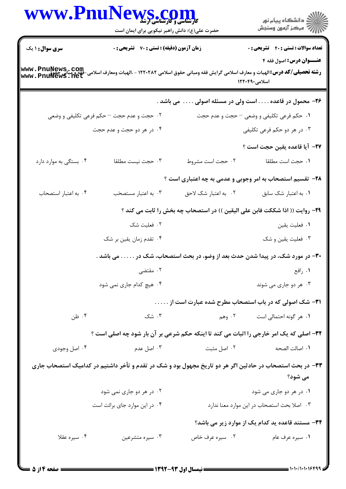|                        | WWW.PnuNews.com<br>حضرت علی(ع): دانش راهبر نیکویی برای ایمان است                                                                                                                                      |                      | الاد دانشگاه پيام نور<br>الاستمرکز آزمون وسنجش                              |
|------------------------|-------------------------------------------------------------------------------------------------------------------------------------------------------------------------------------------------------|----------------------|-----------------------------------------------------------------------------|
| سری سوال : ۱ یک        | <b>زمان آزمون (دقیقه) : تستی : 70 گشریحی : 0</b><br><b>رشته تحصیلی/کد درس:</b> الهیات و معارف اسلامی گرایش فقه ومبانی حقوق اسلامی ۱۲۲۰۲۸۲ - ،الهیات ومعارف اسلامی-فقه و مبانع<br>www . PnulVewS . net |                      | <b>تعداد سوالات : تستی : ۴۰ ٪ تشریحی : 0</b><br>عنــوان درس: اصول فقه ۴     |
|                        |                                                                                                                                                                                                       |                      | اسلامی۱۲۲۰۴۹۰                                                               |
|                        |                                                                                                                                                                                                       |                      | ۲۶- محمول در قاعده است ولی در مسئله اصولی می باشد .                         |
|                        | ۰۲ حجت و عدم حجت – حکم فرعی تکلیفی و وضعی                                                                                                                                                             |                      | ١. حكم فرعي تكليفي و وضعي – حجت و عدم حجت                                   |
|                        | ۰۴ در هر دو حجت و عدم حجت                                                                                                                                                                             |                      | ۰۳ در هر دو حکم فرعی تکلیفی                                                 |
|                        |                                                                                                                                                                                                       |                      | ٢٧- آيا قاعده يقين حجت است ؟                                                |
| ۰۴ بستگی به موارد دارد | ٠٣ حجت نيست مطلقا                                                                                                                                                                                     | ٠٢ حجت است مشروط     | ٠١ حجت است مطلقا                                                            |
|                        |                                                                                                                                                                                                       |                      | ۲۸- تقسیم استصحاب به امر وجوبی و عدمی به چه اعتباری است ؟                   |
| ۰۴ به اعتبار استصحاب   | ۰۳ به اعتبار مستصحّب                                                                                                                                                                                  | ٠٢ به اعتبار شک لاحق | ٠١. به اعتبار شک سابق                                                       |
|                        |                                                                                                                                                                                                       |                      | ۲۹- روایت (( اذا شککت فابن علی الیقین )) در استصحاب چه بخش را ثابت می کند ؟ |
|                        | ٠٢ فعليت شک                                                                                                                                                                                           |                      | ٠١ فعليت يقين                                                               |
|                        | ۰۴ تقدم زمان يقين بر شک                                                                                                                                                                               |                      | ۰۳ فعلیت یقین و شک                                                          |
|                        | ۳۰– در مورد شک، در پیدا شدن حدث بعد از وضو، در بحث استصحاب، شک در می باشد .                                                                                                                           |                      |                                                                             |
|                        | ۰۲ مقتضی                                                                                                                                                                                              |                      | ۰۱ رافع                                                                     |
|                        | ۰۴ هیچ کدام جاری نمی شود                                                                                                                                                                              |                      | ۰۳ هر دو جاری می شوند                                                       |
|                        |                                                                                                                                                                                                       |                      | ۳۱– شک اصولی که در باب استصحاب مطرح شده عبارت است از                        |
| ۰۴ ظن                  | ۰۳ شک                                                                                                                                                                                                 |                      | ۰۱ هر گونه احتمالی است مسلم ۲۰ وهم                                          |
|                        | 32- اصلی که یک امر خارجی را اثبات می کند تا اینکه حکم شرعی بر آن بار شود چه اصلی است ؟                                                                                                                |                      |                                                                             |
| ۰۴ اصل وجودی           | ۰۳ اصل عدم                                                                                                                                                                                            | ۰۲ اصل مثبت          | ٠١. اصالت الصحه                                                             |
|                        | ۳۳- در بحث استصحاب در حادثین اگر هر دو تاریخ مجهول بود و شک در تقدم و تأخر داشتیم در کدامیک استصحاب جاری                                                                                              |                      |                                                                             |
|                        |                                                                                                                                                                                                       |                      | می شود؟                                                                     |
|                        | ۰۲ در هر دو جاری نمی شود                                                                                                                                                                              |                      | ۰۱ در هر دو جاری می شود                                                     |
|                        | ۰۴ در این موارد جای برائت است                                                                                                                                                                         |                      | ٠٣ اصلا بحث استصحاب در اين موارد معنا ندارد                                 |
|                        |                                                                                                                                                                                                       |                      | ۳۴- مستند قاعده ید کدام یک از موارد زیر می باشد؟                            |
| ۰۴ سیره عقلا           | ۰۳ سیره متشرعین                                                                                                                                                                                       | ۰۲ سیره عرف خاص      | ۰۱ سیره عرف عام                                                             |